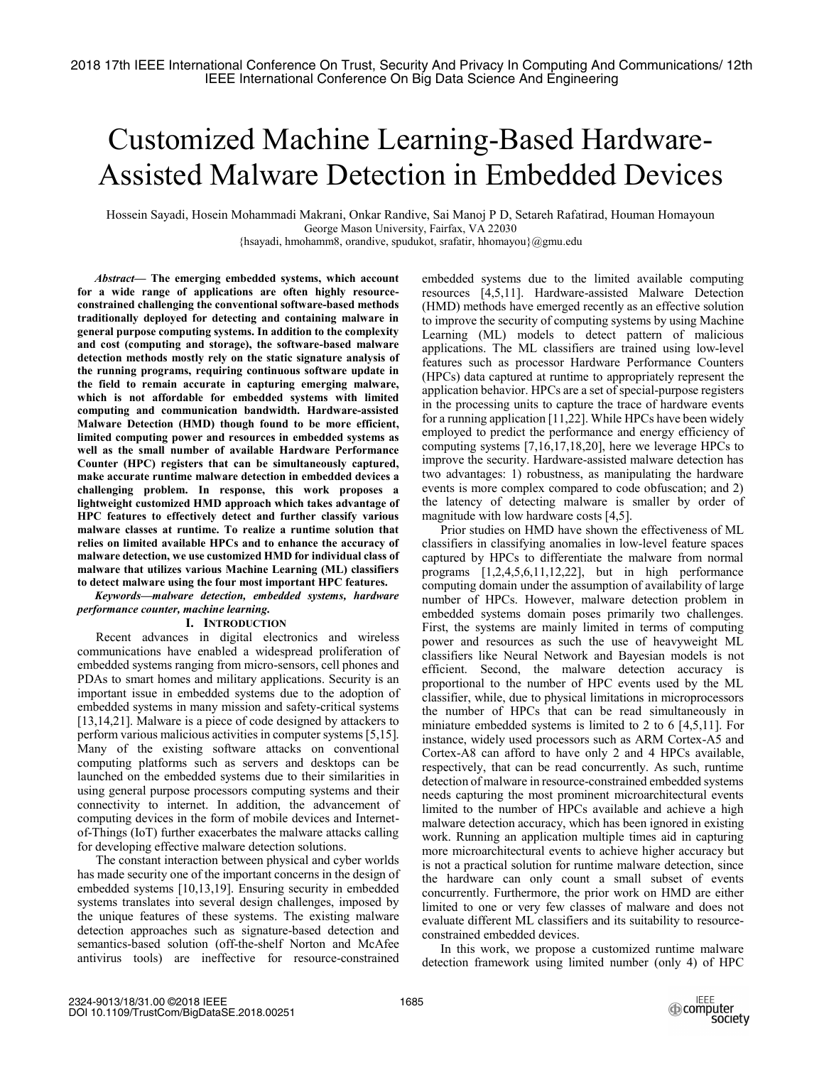# Customized Machine Learning-Based Hardware-Assisted Malware Detection in Embedded Devices

Hossein Sayadi, Hosein Mohammadi Makrani, Onkar Randive, Sai Manoj P D, Setareh Rafatirad, Houman Homayoun George Mason University, Fairfax, VA 22030

{hsayadi, hmohamm8, orandive, spudukot, srafatir, hhomayou}@gmu.edu

*Abstract***— The emerging embedded systems, which account for a wide range of applications are often highly resourceconstrained challenging the conventional software-based methods traditionally deployed for detecting and containing malware in general purpose computing systems. In addition to the complexity and cost (computing and storage), the software-based malware detection methods mostly rely on the static signature analysis of the running programs, requiring continuous software update in the field to remain accurate in capturing emerging malware, which is not affordable for embedded systems with limited computing and communication bandwidth. Hardware-assisted Malware Detection (HMD) though found to be more efficient, limited computing power and resources in embedded systems as well as the small number of available Hardware Performance Counter (HPC) registers that can be simultaneously captured, make accurate runtime malware detection in embedded devices a challenging problem. In response, this work proposes a lightweight customized HMD approach which takes advantage of HPC features to effectively detect and further classify various malware classes at runtime. To realize a runtime solution that relies on limited available HPCs and to enhance the accuracy of malware detection, we use customized HMD for individual class of malware that utilizes various Machine Learning (ML) classifiers to detect malware using the four most important HPC features.** 

*Keywords—malware detection, embedded systems, hardware performance counter, machine learning.* 

## **I. INTRODUCTION**

Recent advances in digital electronics and wireless communications have enabled a widespread proliferation of embedded systems ranging from micro-sensors, cell phones and PDAs to smart homes and military applications. Security is an important issue in embedded systems due to the adoption of embedded systems in many mission and safety-critical systems [13,14,21]. Malware is a piece of code designed by attackers to perform various malicious activities in computer systems [5,15]. Many of the existing software attacks on conventional computing platforms such as servers and desktops can be launched on the embedded systems due to their similarities in using general purpose processors computing systems and their connectivity to internet. In addition, the advancement of computing devices in the form of mobile devices and Internetof-Things (IoT) further exacerbates the malware attacks calling for developing effective malware detection solutions.

The constant interaction between physical and cyber worlds has made security one of the important concerns in the design of embedded systems [10,13,19]. Ensuring security in embedded systems translates into several design challenges, imposed by the unique features of these systems. The existing malware detection approaches such as signature-based detection and semantics-based solution (off-the-shelf Norton and McAfee antivirus tools) are ineffective for resource-constrained

embedded systems due to the limited available computing resources [4,5,11]. Hardware-assisted Malware Detection (HMD) methods have emerged recently as an effective solution to improve the security of computing systems by using Machine Learning (ML) models to detect pattern of malicious applications. The ML classifiers are trained using low-level features such as processor Hardware Performance Counters (HPCs) data captured at runtime to appropriately represent the application behavior. HPCs are a set of special-purpose registers in the processing units to capture the trace of hardware events for a running application [11,22]. While HPCs have been widely employed to predict the performance and energy efficiency of computing systems [7,16,17,18,20], here we leverage HPCs to improve the security. Hardware-assisted malware detection has two advantages: 1) robustness, as manipulating the hardware events is more complex compared to code obfuscation; and 2) the latency of detecting malware is smaller by order of magnitude with low hardware costs [4,5].

Prior studies on HMD have shown the effectiveness of ML classifiers in classifying anomalies in low-level feature spaces captured by HPCs to differentiate the malware from normal programs [1,2,4,5,6,11,12,22], but in high performance computing domain under the assumption of availability of large number of HPCs. However, malware detection problem in embedded systems domain poses primarily two challenges. First, the systems are mainly limited in terms of computing power and resources as such the use of heavyweight ML classifiers like Neural Network and Bayesian models is not efficient. Second, the malware detection accuracy is proportional to the number of HPC events used by the ML classifier, while, due to physical limitations in microprocessors the number of HPCs that can be read simultaneously in miniature embedded systems is limited to 2 to 6 [4,5,11]. For instance, widely used processors such as ARM Cortex-A5 and Cortex-A8 can afford to have only 2 and 4 HPCs available, respectively, that can be read concurrently. As such, runtime detection of malware in resource-constrained embedded systems needs capturing the most prominent microarchitectural events limited to the number of HPCs available and achieve a high malware detection accuracy, which has been ignored in existing work. Running an application multiple times aid in capturing more microarchitectural events to achieve higher accuracy but is not a practical solution for runtime malware detection, since the hardware can only count a small subset of events concurrently. Furthermore, the prior work on HMD are either limited to one or very few classes of malware and does not evaluate different ML classifiers and its suitability to resourceconstrained embedded devices.

In this work, we propose a customized runtime malware detection framework using limited number (only 4) of HPC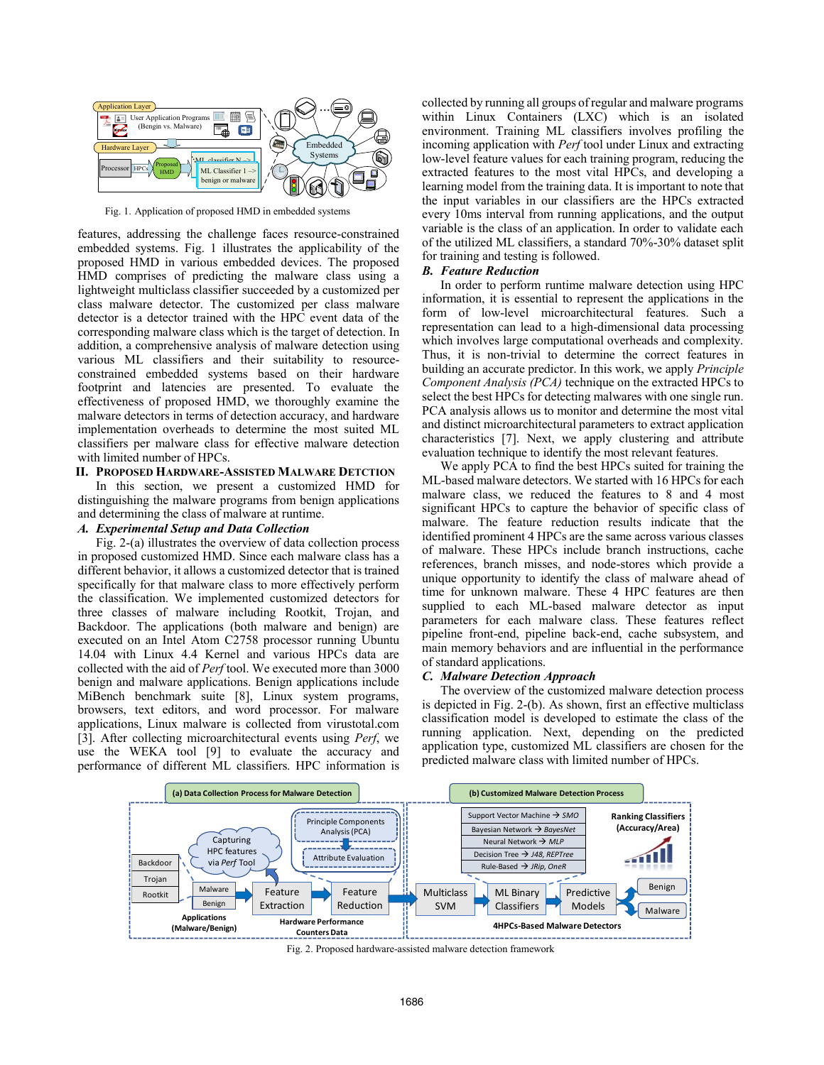

Fig. 1. Application of proposed HMD in embedded systems

features, addressing the challenge faces resource-constrained embedded systems. Fig. 1 illustrates the applicability of the proposed HMD in various embedded devices. The proposed HMD comprises of predicting the malware class using a lightweight multiclass classifier succeeded by a customized per class malware detector. The customized per class malware detector is a detector trained with the HPC event data of the corresponding malware class which is the target of detection. In addition, a comprehensive analysis of malware detection using various ML classifiers and their suitability to resourceconstrained embedded systems based on their hardware footprint and latencies are presented. To evaluate the effectiveness of proposed HMD, we thoroughly examine the malware detectors in terms of detection accuracy, and hardware implementation overheads to determine the most suited ML classifiers per malware class for effective malware detection with limited number of HPCs.

# **II. PROPOSED HARDWARE-ASSISTED MALWARE DETCTION**

In this section, we present a customized HMD for distinguishing the malware programs from benign applications and determining the class of malware at runtime.

#### *A. Experimental Setup and Data Collection*

Fig. 2-(a) illustrates the overview of data collection process in proposed customized HMD. Since each malware class has a different behavior, it allows a customized detector that is trained specifically for that malware class to more effectively perform the classification. We implemented customized detectors for three classes of malware including Rootkit, Trojan, and Backdoor. The applications (both malware and benign) are executed on an Intel Atom C2758 processor running Ubuntu 14.04 with Linux 4.4 Kernel and various HPCs data are collected with the aid of *Perf* tool. We executed more than 3000 benign and malware applications. Benign applications include MiBench benchmark suite [8], Linux system programs, browsers, text editors, and word processor. For malware applications, Linux malware is collected from virustotal.com [3]. After collecting microarchitectural events using *Perf*, we use the WEKA tool [9] to evaluate the accuracy and performance of different ML classifiers. HPC information is

collected by running all groups of regular and malware programs within Linux Containers (LXC) which is an isolated environment. Training ML classifiers involves profiling the incoming application with *Perf* tool under Linux and extracting low-level feature values for each training program, reducing the extracted features to the most vital HPCs, and developing a learning model from the training data. It is important to note that the input variables in our classifiers are the HPCs extracted every 10ms interval from running applications, and the output variable is the class of an application. In order to validate each of the utilized ML classifiers, a standard 70%-30% dataset split for training and testing is followed.

## *B. Feature Reduction*

In order to perform runtime malware detection using HPC information, it is essential to represent the applications in the form of low-level microarchitectural features. Such a representation can lead to a high-dimensional data processing which involves large computational overheads and complexity. Thus, it is non-trivial to determine the correct features in building an accurate predictor. In this work, we apply *Principle Component Analysis (PCA)* technique on the extracted HPCs to select the best HPCs for detecting malwares with one single run. PCA analysis allows us to monitor and determine the most vital and distinct microarchitectural parameters to extract application characteristics [7]. Next, we apply clustering and attribute evaluation technique to identify the most relevant features.

We apply PCA to find the best HPCs suited for training the ML-based malware detectors. We started with 16 HPCs for each malware class, we reduced the features to 8 and 4 most significant HPCs to capture the behavior of specific class of malware. The feature reduction results indicate that the identified prominent 4 HPCs are the same across various classes of malware. These HPCs include branch instructions, cache references, branch misses, and node-stores which provide a unique opportunity to identify the class of malware ahead of time for unknown malware. These 4 HPC features are then supplied to each ML-based malware detector as input parameters for each malware class. These features reflect pipeline front-end, pipeline back-end, cache subsystem, and main memory behaviors and are influential in the performance of standard applications.

## *C. Malware Detection Approach*

The overview of the customized malware detection process is depicted in Fig. 2-(b). As shown, first an effective multiclass classification model is developed to estimate the class of the running application. Next, depending on the predicted application type, customized ML classifiers are chosen for the predicted malware class with limited number of HPCs.



Fig. 2. Proposed hardware-assisted malware detection framework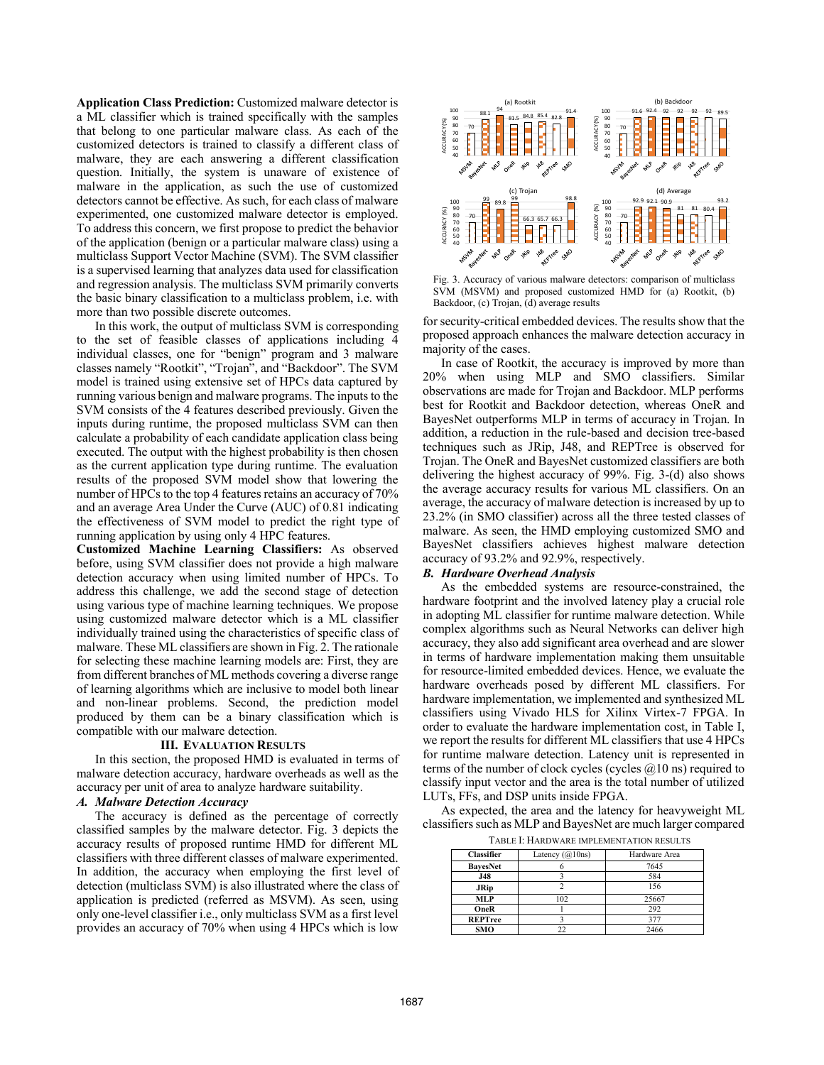**Application Class Prediction:** Customized malware detector is a ML classifier which is trained specifically with the samples that belong to one particular malware class. As each of the customized detectors is trained to classify a different class of malware, they are each answering a different classification question. Initially, the system is unaware of existence of malware in the application, as such the use of customized detectors cannot be effective. As such, for each class of malware experimented, one customized malware detector is employed. To address this concern, we first propose to predict the behavior of the application (benign or a particular malware class) using a multiclass Support Vector Machine (SVM). The SVM classifier is a supervised learning that analyzes data used for classification and regression analysis. The multiclass SVM primarily converts the basic binary classification to a multiclass problem, i.e. with more than two possible discrete outcomes.

In this work, the output of multiclass SVM is corresponding to the set of feasible classes of applications including 4 individual classes, one for "benign" program and 3 malware classes namely "Rootkit", "Trojan", and "Backdoor". The SVM model is trained using extensive set of HPCs data captured by running various benign and malware programs. The inputs to the SVM consists of the 4 features described previously. Given the inputs during runtime, the proposed multiclass SVM can then calculate a probability of each candidate application class being executed. The output with the highest probability is then chosen as the current application type during runtime. The evaluation results of the proposed SVM model show that lowering the number of HPCs to the top 4 features retains an accuracy of 70% and an average Area Under the Curve (AUC) of 0.81 indicating the effectiveness of SVM model to predict the right type of running application by using only 4 HPC features.

**Customized Machine Learning Classifiers:** As observed before, using SVM classifier does not provide a high malware detection accuracy when using limited number of HPCs. To address this challenge, we add the second stage of detection using various type of machine learning techniques. We propose using customized malware detector which is a ML classifier individually trained using the characteristics of specific class of malware. These ML classifiers are shown in Fig. 2. The rationale for selecting these machine learning models are: First, they are from different branches of ML methods covering a diverse range of learning algorithms which are inclusive to model both linear and non-linear problems. Second, the prediction model produced by them can be a binary classification which is compatible with our malware detection.

#### **III. EVALUATION RESULTS**

In this section, the proposed HMD is evaluated in terms of malware detection accuracy, hardware overheads as well as the accuracy per unit of area to analyze hardware suitability.

#### *A. Malware Detection Accuracy*

The accuracy is defined as the percentage of correctly classified samples by the malware detector. Fig. 3 depicts the accuracy results of proposed runtime HMD for different ML classifiers with three different classes of malware experimented. In addition, the accuracy when employing the first level of detection (multiclass SVM) is also illustrated where the class of application is predicted (referred as MSVM). As seen, using only one-level classifier i.e., only multiclass SVM as a first level provides an accuracy of 70% when using 4 HPCs which is low



Fig. 3. Accuracy of various malware detectors: comparison of multiclass SVM (MSVM) and proposed customized HMD for (a) Rootkit, (b) Backdoor, (c) Trojan, (d) average results

for security-critical embedded devices. The results show that the proposed approach enhances the malware detection accuracy in majority of the cases.

In case of Rootkit, the accuracy is improved by more than 20% when using MLP and SMO classifiers. Similar observations are made for Trojan and Backdoor. MLP performs best for Rootkit and Backdoor detection, whereas OneR and BayesNet outperforms MLP in terms of accuracy in Trojan. In addition, a reduction in the rule-based and decision tree-based techniques such as JRip, J48, and REPTree is observed for Trojan. The OneR and BayesNet customized classifiers are both delivering the highest accuracy of 99%. Fig. 3-(d) also shows the average accuracy results for various ML classifiers. On an average, the accuracy of malware detection is increased by up to 23.2% (in SMO classifier) across all the three tested classes of malware. As seen, the HMD employing customized SMO and BayesNet classifiers achieves highest malware detection accuracy of 93.2% and 92.9%, respectively.

## *B. Hardware Overhead Analysis*

As the embedded systems are resource-constrained, the hardware footprint and the involved latency play a crucial role in adopting ML classifier for runtime malware detection. While complex algorithms such as Neural Networks can deliver high accuracy, they also add significant area overhead and are slower in terms of hardware implementation making them unsuitable for resource-limited embedded devices. Hence, we evaluate the hardware overheads posed by different ML classifiers. For hardware implementation, we implemented and synthesized ML classifiers using Vivado HLS for Xilinx Virtex-7 FPGA. In order to evaluate the hardware implementation cost, in Table I, we report the results for different ML classifiers that use 4 HPCs for runtime malware detection. Latency unit is represented in terms of the number of clock cycles (cycles  $(@10 \text{ ns})$  required to classify input vector and the area is the total number of utilized LUTs, FFs, and DSP units inside FPGA.

As expected, the area and the latency for heavyweight ML classifiers such as MLP and BayesNet are much larger compared

TABLE I: HARDWARE IMPLEMENTATION RESULTS

| <b>Classifier</b> | Latency $(a)10$ ns) | Hardware Area |
|-------------------|---------------------|---------------|
| <b>BayesNet</b>   |                     | 7645          |
| J48               |                     | 584           |
| <b>JRip</b>       |                     | 156           |
| <b>MLP</b>        | 102                 | 25667         |
| OneR              |                     | 292           |
| <b>REPTree</b>    |                     | 377           |
| <b>SMO</b>        |                     | 2466          |